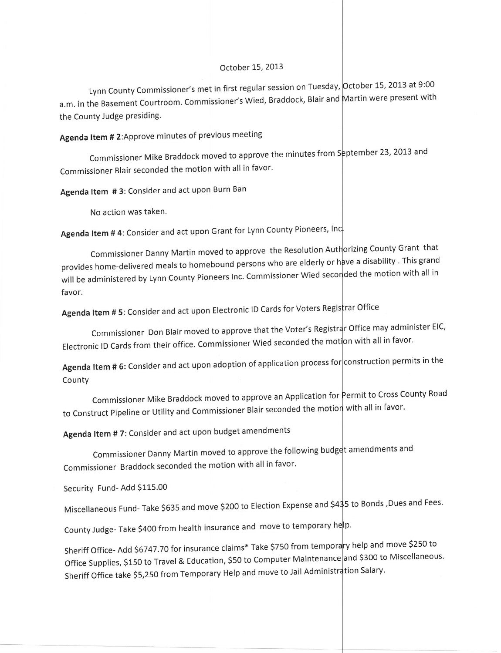## October 15,2013

Lynn County Commissioner's met in first regular session on Tuesday, <mark>October 15, 2013 at 9:00</mark> a.m. in the Basement Courtroom. Commissioner's Wied, Braddock, Blair and Martin were present with the County Judge presiding.

# Agenda ltem # 2:Approve minutes of previous meeting

Commissioner Mike Braddock moved to approve the minutes from S<mark>eptember 23, 2013 and</mark> Commissioner Blair seconded the motion with all in favor'

Agenda Item #3: Consider and act upon Burn Ban

No action was taken.

Agenda Item # 4: Consider and act upon Grant for Lynn County Pioneers, Inc.

Commissioner Danny Martin moved to approve the Resolution Authorizing County Grant that provides home-delivered meals to homebound persons who are elderly or have a disability . This grand protition the motion of the transition of the motion of the motion with all in with the motion with all in with  $\frac{1}{n}$ favor.

Agenda Item # 5: Consider and act upon Electronic ID Cards for Voters Registrar Office

Commissioner Don Blair moved to approve that the Voter's Registrar Office may administer EIC, Electronic ID Cards from their office. Commissioner Wied seconded the motton with all in favor.

Agenda ltem # 6: consider and act upon adoption of application process fo construction Permits in the County

Commissioner Mike Braddock moved to approve an Application for Permit to Cross County Road to Construct Pipeline or Utility and Commissioner Blair seconded the motion with all in favor.

Agenda ltem # 7: Consider and act upon budget amendments

Commissioner Danny Martin moved to approve the following budget amendments and Commissioner Braddock seconded the motion with all in favor.

Security Fund- Add 5115.00

Miscellaneous Fund- Take \$635 and move \$200 to Election Expense and \$4\$5 to Bonds, Dues and Fees.

County Judge- Take \$400 from health insurance and move to temporary help.

Sheriff Office- Add \$6747.70 for insurance claims\* Take \$750 from temporary help and move \$250 to Office Supplies, \$150 to Travel & Education, \$50 to Computer Maintenance and \$300 to Miscellaneous. Sheriff Office take \$5,250 from Temporary Help and move to Jail Administration Salary